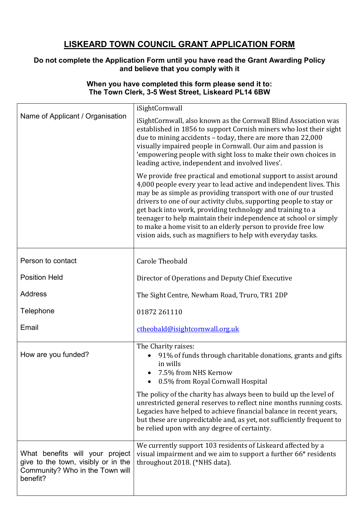## **LISKEARD TOWN COUNCIL GRANT APPLICATION FORM**

## **Do not complete the Application Form until you have read the Grant Awarding Policy and believe that you comply with it**

## **When you have completed this form please send it to: The Town Clerk, 3-5 West Street, Liskeard PL14 6BW**

|                                                                                                                       | iSightCornwall                                                                                                                                                                                                                                                                                                                                                                                                                                                                                                                                     |
|-----------------------------------------------------------------------------------------------------------------------|----------------------------------------------------------------------------------------------------------------------------------------------------------------------------------------------------------------------------------------------------------------------------------------------------------------------------------------------------------------------------------------------------------------------------------------------------------------------------------------------------------------------------------------------------|
| Name of Applicant / Organisation                                                                                      | iSightCornwall, also known as the Cornwall Blind Association was<br>established in 1856 to support Cornish miners who lost their sight<br>due to mining accidents - today, there are more than 22,000<br>visually impaired people in Cornwall. Our aim and passion is<br>'empowering people with sight loss to make their own choices in<br>leading active, independent and involved lives'.                                                                                                                                                       |
|                                                                                                                       | We provide free practical and emotional support to assist around<br>4,000 people every year to lead active and independent lives. This<br>may be as simple as providing transport with one of our trusted<br>drivers to one of our activity clubs, supporting people to stay or<br>get back into work, providing technology and training to a<br>teenager to help maintain their independence at school or simply<br>to make a home visit to an elderly person to provide free low<br>vision aids, such as magnifiers to help with everyday tasks. |
| Person to contact                                                                                                     | <b>Carole Theobald</b>                                                                                                                                                                                                                                                                                                                                                                                                                                                                                                                             |
| <b>Position Held</b>                                                                                                  | Director of Operations and Deputy Chief Executive                                                                                                                                                                                                                                                                                                                                                                                                                                                                                                  |
| <b>Address</b>                                                                                                        | The Sight Centre, Newham Road, Truro, TR1 2DP                                                                                                                                                                                                                                                                                                                                                                                                                                                                                                      |
| Telephone                                                                                                             | 01872 261110                                                                                                                                                                                                                                                                                                                                                                                                                                                                                                                                       |
| Email                                                                                                                 | ctheobald@isightcornwall.org.uk                                                                                                                                                                                                                                                                                                                                                                                                                                                                                                                    |
| How are you funded?                                                                                                   | The Charity raises:<br>91% of funds through charitable donations, grants and gifts<br>in wills<br>7.5% from NHS Kernow<br>0.5% from Royal Cornwall Hospital                                                                                                                                                                                                                                                                                                                                                                                        |
|                                                                                                                       | The policy of the charity has always been to build up the level of<br>unrestricted general reserves to reflect nine months running costs.<br>Legacies have helped to achieve financial balance in recent years,<br>but these are unpredictable and, as yet, not sufficiently frequent to<br>be relied upon with any degree of certainty.                                                                                                                                                                                                           |
| What benefits will your project<br>give to the town, visibly or in the<br>Community? Who in the Town will<br>benefit? | We currently support 103 residents of Liskeard affected by a<br>visual impairment and we aim to support a further 66* residents<br>throughout 2018. (*NHS data).                                                                                                                                                                                                                                                                                                                                                                                   |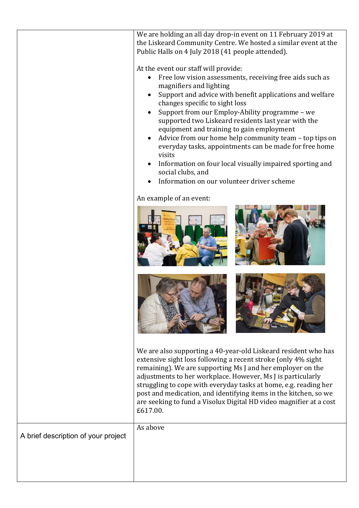|                                     | We are holding an all day drop-in event on 11 February 2019 at<br>the Liskeard Community Centre. We hosted a similar event at the<br>Public Halls on 4 July 2018 (41 people attended).<br>At the event our staff will provide:<br>Free low vision assessments, receiving free aids such as<br>magnifiers and lighting<br>Support and advice with benefit applications and welfare<br>changes specific to sight loss<br>Support from our Employ-Ability programme - we<br>supported two Liskeard residents last year with the<br>equipment and training to gain employment<br>Advice from our home help community team - top tips on<br>everyday tasks, appointments can be made for free home<br>visits<br>Information on four local visually impaired sporting and<br>social clubs, and<br>Information on our volunteer driver scheme<br>An example of an event: |
|-------------------------------------|-------------------------------------------------------------------------------------------------------------------------------------------------------------------------------------------------------------------------------------------------------------------------------------------------------------------------------------------------------------------------------------------------------------------------------------------------------------------------------------------------------------------------------------------------------------------------------------------------------------------------------------------------------------------------------------------------------------------------------------------------------------------------------------------------------------------------------------------------------------------|
|                                     | We are also supporting a 40-year-old Liskeard resident who has<br>extensive sight loss following a recent stroke (only 4% sight<br>remaining). We are supporting Ms J and her employer on the<br>adjustments to her workplace. However, Ms J is particularly<br>struggling to cope with everyday tasks at home, e.g. reading her<br>post and medication, and identifying items in the kitchen, so we<br>are seeking to fund a Visolux Digital HD video magnifier at a cost                                                                                                                                                                                                                                                                                                                                                                                        |
|                                     | £617.00.                                                                                                                                                                                                                                                                                                                                                                                                                                                                                                                                                                                                                                                                                                                                                                                                                                                          |
| A brief description of your project | As above                                                                                                                                                                                                                                                                                                                                                                                                                                                                                                                                                                                                                                                                                                                                                                                                                                                          |